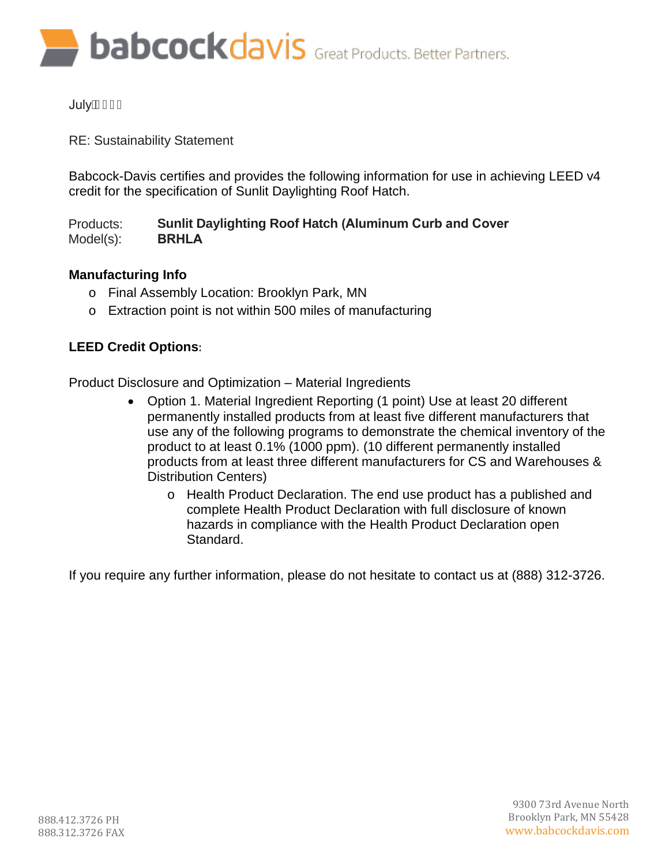**babcockdavis** Great Products. Better Partners.

# **July** AGEGF

RE: Sustainability Statement

Babcock-Davis certifies and provides the following information for use in achieving LEED v4 credit for the specification of Sunlit Daylighting Roof Hatch.

Products: Model(s): **Sunlit Daylighting Roof Hatch (Aluminum Curb and Cover BRHLA**

# **Manufacturing Info**

- o Final Assembly Location: Brooklyn Park, MN
- o Extraction point is not within 500 miles of manufacturing

# **LEED Credit Options**:

Product Disclosure and Optimization – Material Ingredients

- Option 1. Material Ingredient Reporting (1 point) Use at least 20 different permanently installed products from at least five different manufacturers that use any of the following programs to demonstrate the chemical inventory of the product to at least 0.1% (1000 ppm). (10 different permanently installed products from at least three different manufacturers for CS and Warehouses & Distribution Centers)
	- o Health Product Declaration. The end use product has a published and complete Health Product Declaration with full disclosure of known hazards in compliance with the Health Product Declaration open Standard.

If you require any further information, please do not hesitate to contact us at (888) 312-3726.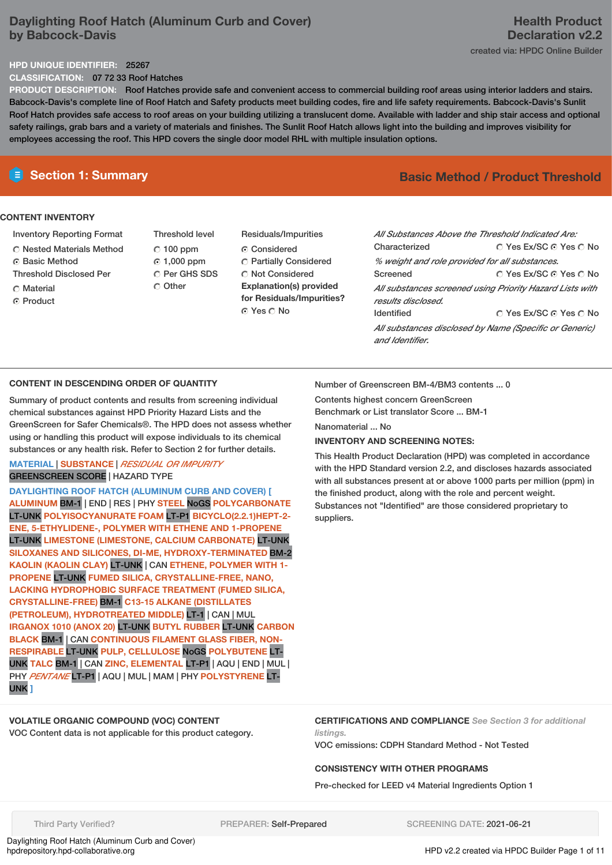# **Daylighting Roof Hatch (Aluminum Curb and Cover) by Babcock-Davis**

#### **HPD UNIQUE IDENTIFIER:** 25267

**CLASSIFICATION:** 07 72 33 Roof Hatches

**PRODUCT DESCRIPTION:** Roof Hatches provide safe and convenient access to commercial building roof areas using interior ladders and stairs. Babcock-Davis's complete line of Roof Hatch and Safety products meet building codes, fire and life safety requirements. Babcock-Davis's Sunlit Roof Hatch provides safe access to roof areas on your building utilizing a translucent dome. Available with ladder and ship stair access and optional safety railings, grab bars and a variety of materials and finishes. The Sunlit Roof Hatch allows light into the building and improves visibility for employees accessing the roof. This HPD covers the single door model RHL with multiple insulation options.

#### **CONTENT INVENTORY**

- Inventory Reporting Format
- Nested Materials Method
- **G** Basic Method
- Threshold Disclosed Per
- C Material
- Product
- Threshold level  $C$  100 ppm 1,000 ppm C Per GHS SDS O Other
- Residuals/Impurities Considered Partially Considered  $\bigcirc$  Not Considered **Explanation(s) provided for Residuals/Impurities?** © Yes ∩ No

# **E** Section 1: Summary **Basic Method / Product Threshold**

| All Substances Above the Threshold Indicated Are: |                                                          |
|---------------------------------------------------|----------------------------------------------------------|
|                                                   |                                                          |
| Characterized                                     | ∩ Yes Ex/SC ∩ Yes ∩ No                                   |
| % weight and role provided for all substances.    |                                                          |
| Screened                                          | ∩ Yes Ex/SC ∩ Yes ∩ No                                   |
|                                                   | All substances screened using Priority Hazard Lists with |
| results disclosed.                                |                                                          |
| <b>Identified</b>                                 | ∩ Yes Ex/SC ∩ Yes ∩ No                                   |
|                                                   | All substances disclosed by Name (Specific or Generic)   |
| and Identifier.                                   |                                                          |

## **CONTENT IN DESCENDING ORDER OF QUANTITY**

Summary of product contents and results from screening individual chemical substances against HPD Priority Hazard Lists and the GreenScreen for Safer Chemicals®. The HPD does not assess whether using or handling this product will expose individuals to its chemical substances or any health risk. Refer to Section 2 for further details.

## **MATERIAL** | **SUBSTANCE** | *RESIDUAL OR IMPURITY* GREENSCREEN SCORE | HAZARD TYPE

**DAYLIGHTING ROOF HATCH (ALUMINUM CURB AND COVER) [ ALUMINUM** BM-1 | END | RES | PHY **STEEL** NoGS **POLYCARBONATE** LT-UNK **POLYISOCYANURATE FOAM** LT-P1 **BICYCLO(2.2.1)HEPT-2- ENE, 5-ETHYLIDENE-, POLYMER WITH ETHENE AND 1-PROPENE** LT-UNK **LIMESTONE (LIMESTONE, CALCIUM CARBONATE)** LT-UNK **SILOXANES AND SILICONES, DI-ME, HYDROXY-TERMINATED** BM-2 **KAOLIN (KAOLIN CLAY)** LT-UNK | CAN **ETHENE, POLYMER WITH 1- PROPENE** LT-UNK **FUMED SILICA, CRYSTALLINE-FREE, NANO, LACKING HYDROPHOBIC SURFACE TREATMENT (FUMED SILICA, CRYSTALLINE-FREE)** BM-1 **C13-15 ALKANE (DISTILLATES (PETROLEUM), HYDROTREATED MIDDLE)** LT-1 | CAN | MUL **IRGANOX 1010 (ANOX 20)** LT-UNK **BUTYL RUBBER** LT-UNK **CARBON BLACK** BM-1 | CAN **CONTINUOUS FILAMENT GLASS FIBER, NON-RESPIRABLE** LT-UNK **PULP, CELLULOSE** NoGS **POLYBUTENE** LT-UNK **TALC** BM-1 | CAN **ZINC, ELEMENTAL** LT-P1 | AQU | END | MUL | PHY *PENTANE* LT-P1 | AQU | MUL | MAM | PHY **POLYSTYRENE** LT-UNK **]**

Number of Greenscreen BM-4/BM3 contents ... 0

Contents highest concern GreenScreen Benchmark or List translator Score ... BM-1

Nanomaterial ... No

#### **INVENTORY AND SCREENING NOTES:**

This Health Product Declaration (HPD) was completed in accordance with the HPD Standard version 2.2, and discloses hazards associated with all substances present at or above 1000 parts per million (ppm) in the finished product, along with the role and percent weight. Substances not "Identified" are those considered proprietary to suppliers.

# **VOLATILE ORGANIC COMPOUND (VOC) CONTENT**

VOC Content data is not applicable for this product category.

**CERTIFICATIONS AND COMPLIANCE** *See Section 3 for additional listings.*

VOC emissions: CDPH Standard Method - Not Tested

#### **CONSISTENCY WITH OTHER PROGRAMS**

Pre-checked for LEED v4 Material Ingredients Option 1

Third Party Verified? **PREPARER: Self-Prepared SCREENING DATE: 2021-06-21** 

Daylighting Roof Hatch (Aluminum Curb and Cover)<br>hpdrepository.hpd-collaborative.org

HPD v2.2 created via HPDC Builder Page 1 of 11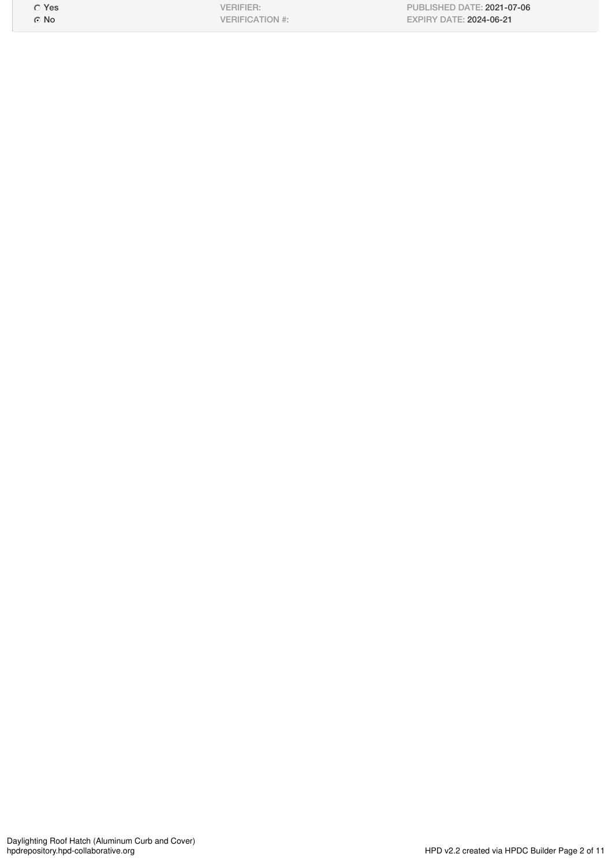Yes No

VERIFIER: VERIFICATION #: PUBLISHED DATE: 2021-07-06 EXPIRY DATE: 2024-06-21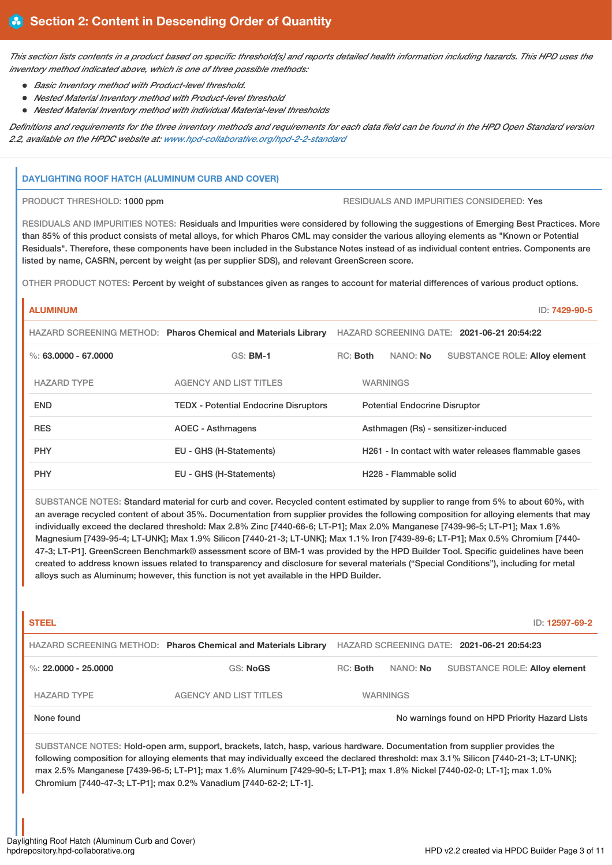This section lists contents in a product based on specific threshold(s) and reports detailed health information including hazards. This HPD uses the *inventory method indicated above, which is one of three possible methods:*

- *Basic Inventory method with Product-level threshold.*
- *Nested Material Inventory method with Product-level threshold*
- *Nested Material Inventory method with individual Material-level thresholds*

Definitions and requirements for the three inventory methods and requirements for each data field can be found in the HPD Open Standard version *2.2, available on the HPDC website at: [www.hpd-collaborative.org/hpd-2-2-standard](https://www.hpd-collaborative.org/hpd-2-2-standard)*

#### **DAYLIGHTING ROOF HATCH (ALUMINUM CURB AND COVER)**

PRODUCT THRESHOLD: 1000 ppm RESIDUALS AND IMPURITIES CONSIDERED: Yes

RESIDUALS AND IMPURITIES NOTES: Residuals and Impurities were considered by following the suggestions of Emerging Best Practices. More than 85% of this product consists of metal alloys, for which Pharos CML may consider the various alloying elements as "Known or Potential Residuals". Therefore, these components have been included in the Substance Notes instead of as individual content entries. Components are listed by name, CASRN, percent by weight (as per supplier SDS), and relevant GreenScreen score.

OTHER PRODUCT NOTES: Percent by weight of substances given as ranges to account for material differences of various product options.

## **ALUMINUM** ID: **7429-90-5**

|                          | HAZARD SCREENING METHOD: Pharos Chemical and Materials Library | HAZARD SCREENING DATE: 2021-06-21 20:54:22 |  |                                    |                                                       |
|--------------------------|----------------------------------------------------------------|--------------------------------------------|--|------------------------------------|-------------------------------------------------------|
| $\%$ : 63.0000 - 67.0000 | <b>GS: BM-1</b>                                                | RC: Both                                   |  | NANO: No                           | <b>SUBSTANCE ROLE: Alloy element</b>                  |
| <b>HAZARD TYPE</b>       | <b>AGENCY AND LIST TITLES</b>                                  |                                            |  | <b>WARNINGS</b>                    |                                                       |
| <b>END</b>               | <b>TEDX</b> - Potential Endocrine Disruptors                   | <b>Potential Endocrine Disruptor</b>       |  |                                    |                                                       |
| <b>RES</b>               | AOEC - Asthmagens                                              |                                            |  |                                    | Asthmagen (Rs) - sensitizer-induced                   |
| <b>PHY</b>               | EU - GHS (H-Statements)                                        |                                            |  |                                    | H261 - In contact with water releases flammable gases |
| <b>PHY</b>               | EU - GHS (H-Statements)                                        |                                            |  | H <sub>228</sub> - Flammable solid |                                                       |

SUBSTANCE NOTES: Standard material for curb and cover. Recycled content estimated by supplier to range from 5% to about 60%, with an average recycled content of about 35%. Documentation from supplier provides the following composition for alloying elements that may individually exceed the declared threshold: Max 2.8% Zinc [7440-66-6; LT-P1]; Max 2.0% Manganese [7439-96-5; LT-P1]; Max 1.6% Magnesium [7439-95-4; LT-UNK]; Max 1.9% Silicon [7440-21-3; LT-UNK]; Max 1.1% Iron [7439-89-6; LT-P1]; Max 0.5% Chromium [7440- 47-3; LT-P1]. GreenScreen Benchmark® assessment score of BM-1 was provided by the HPD Builder Tool. Specific guidelines have been created to address known issues related to transparency and disclosure for several materials ("Special Conditions"), including for metal alloys such as Aluminum; however, this function is not yet available in the HPD Builder.

# **STEEL** ID: **12597-69-2** HAZARD SCREENING METHOD: **Pharos Chemical and Materials Library** HAZARD SCREENING DATE: **2021-06-21 20:54:23** %: **22.0000 - 25.0000** GS: NoGS RGGS RGG: Both NANO: No SUBSTANCE ROLE: Alloy element HAZARD TYPE AGENCY AND LIST TITLES WARNINGS None found Now arrings found on HPD Priority Hazard Lists

SUBSTANCE NOTES: Hold-open arm, support, brackets, latch, hasp, various hardware. Documentation from supplier provides the following composition for alloying elements that may individually exceed the declared threshold: max 3.1% Silicon [7440-21-3; LT-UNK]; max 2.5% Manganese [7439-96-5; LT-P1]; max 1.6% Aluminum [7429-90-5; LT-P1]; max 1.8% Nickel [7440-02-0; LT-1]; max 1.0% Chromium [7440-47-3; LT-P1]; max 0.2% Vanadium [7440-62-2; LT-1].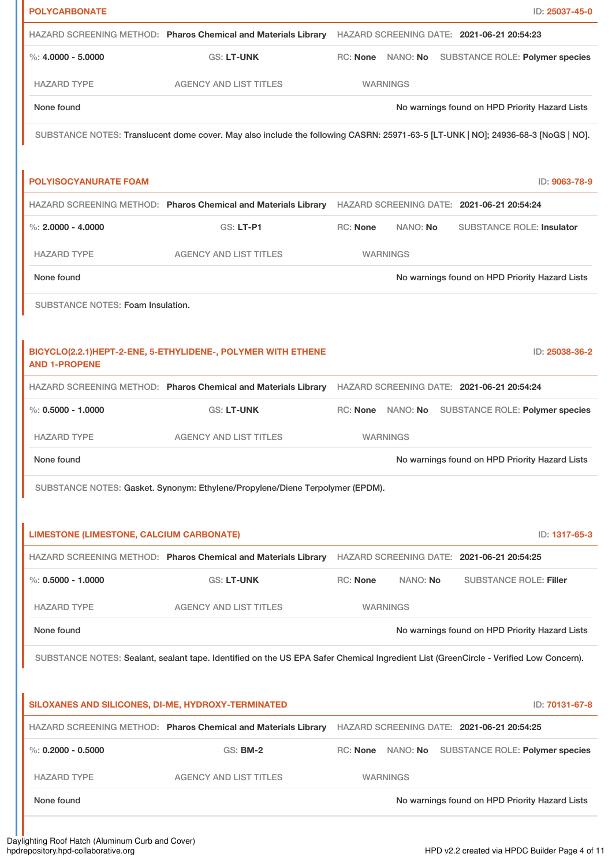| HAZARD SCREENING METHOD: Pharos Chemical and Materials Library HAZARD SCREENING DATE: 2021-06-21 20:54:23<br>$\%: 4.0000 - 5.0000$<br><b>GS: LT-UNK</b><br>RC: None NANO: No<br><b>SUBSTANCE ROLE: Polymer species</b><br><b>HAZARD TYPE</b><br><b>AGENCY AND LIST TITLES</b><br><b>WARNINGS</b><br>None found<br>No warnings found on HPD Priority Hazard Lists<br>SUBSTANCE NOTES: Translucent dome cover. May also include the following CASRN: 25971-63-5 [LT-UNK   NO]; 24936-68-3 [NoGS   NO].<br>ID: 9063-78-9<br>HAZARD SCREENING METHOD: Pharos Chemical and Materials Library HAZARD SCREENING DATE: 2021-06-21 20:54:24<br>%: $2,0000 - 4,0000$<br><b>GS: LT-P1</b><br><b>RC: None</b><br>NANO: No<br><b>SUBSTANCE ROLE: Insulator</b><br><b>HAZARD TYPE</b><br><b>AGENCY AND LIST TITLES</b><br><b>WARNINGS</b><br>None found<br>No warnings found on HPD Priority Hazard Lists<br>SUBSTANCE NOTES: Foam Insulation.<br>BICYCLO(2.2.1)HEPT-2-ENE, 5-ETHYLIDENE-, POLYMER WITH ETHENE<br>ID: 25038-36-2<br><b>AND 1-PROPENE</b><br>HAZARD SCREENING METHOD: Pharos Chemical and Materials Library HAZARD SCREENING DATE: 2021-06-21 20:54:24<br>$\%: 0.5000 - 1.0000$<br><b>GS: LT-UNK</b><br>RC: None<br>NANO: No<br>SUBSTANCE ROLE: Polymer species<br><b>HAZARD TYPE</b><br><b>AGENCY AND LIST TITLES</b><br><b>WARNINGS</b><br>No warnings found on HPD Priority Hazard Lists<br>None found<br>SUBSTANCE NOTES: Gasket. Synonym: Ethylene/Propylene/Diene Terpolymer (EPDM).<br><b>LIMESTONE (LIMESTONE, CALCIUM CARBONATE)</b><br>ID: 1317-65-3<br>HAZARD SCREENING METHOD: Pharos Chemical and Materials Library HAZARD SCREENING DATE: 2021-06-21 20:54:25<br>$\%$ : 0.5000 - 1.0000<br>RC: None<br><b>GS: LT-UNK</b><br>NANO: No<br><b>SUBSTANCE ROLE: Filler</b><br><b>HAZARD TYPE</b><br><b>AGENCY AND LIST TITLES</b><br><b>WARNINGS</b><br>None found<br>No warnings found on HPD Priority Hazard Lists<br>SUBSTANCE NOTES: Sealant, sealant tape. Identified on the US EPA Safer Chemical Ingredient List (GreenCircle - Verified Low Concern).<br>SILOXANES AND SILICONES, DI-ME, HYDROXY-TERMINATED<br>ID: 70131-67-8<br>HAZARD SCREENING METHOD: Pharos Chemical and Materials Library HAZARD SCREENING DATE: 2021-06-21 20:54:25<br><b>GS: BM-2</b><br>RC: None NANO: No<br>SUBSTANCE ROLE: Polymer species<br><b>HAZARD TYPE</b><br><b>AGENCY AND LIST TITLES</b><br><b>WARNINGS</b><br>None found<br>No warnings found on HPD Priority Hazard Lists | <b>POLYCARBONATE</b>         | ID: 25037-45-0 |
|-----------------------------------------------------------------------------------------------------------------------------------------------------------------------------------------------------------------------------------------------------------------------------------------------------------------------------------------------------------------------------------------------------------------------------------------------------------------------------------------------------------------------------------------------------------------------------------------------------------------------------------------------------------------------------------------------------------------------------------------------------------------------------------------------------------------------------------------------------------------------------------------------------------------------------------------------------------------------------------------------------------------------------------------------------------------------------------------------------------------------------------------------------------------------------------------------------------------------------------------------------------------------------------------------------------------------------------------------------------------------------------------------------------------------------------------------------------------------------------------------------------------------------------------------------------------------------------------------------------------------------------------------------------------------------------------------------------------------------------------------------------------------------------------------------------------------------------------------------------------------------------------------------------------------------------------------------------------------------------------------------------------------------------------------------------------------------------------------------------------------------------------------------------------------------------------------------------------------------------------------------------------------------------------------------------------------------------------------------------------------------------------------------------------------------------------------------------------------------------|------------------------------|----------------|
|                                                                                                                                                                                                                                                                                                                                                                                                                                                                                                                                                                                                                                                                                                                                                                                                                                                                                                                                                                                                                                                                                                                                                                                                                                                                                                                                                                                                                                                                                                                                                                                                                                                                                                                                                                                                                                                                                                                                                                                                                                                                                                                                                                                                                                                                                                                                                                                                                                                                                   |                              |                |
|                                                                                                                                                                                                                                                                                                                                                                                                                                                                                                                                                                                                                                                                                                                                                                                                                                                                                                                                                                                                                                                                                                                                                                                                                                                                                                                                                                                                                                                                                                                                                                                                                                                                                                                                                                                                                                                                                                                                                                                                                                                                                                                                                                                                                                                                                                                                                                                                                                                                                   |                              |                |
|                                                                                                                                                                                                                                                                                                                                                                                                                                                                                                                                                                                                                                                                                                                                                                                                                                                                                                                                                                                                                                                                                                                                                                                                                                                                                                                                                                                                                                                                                                                                                                                                                                                                                                                                                                                                                                                                                                                                                                                                                                                                                                                                                                                                                                                                                                                                                                                                                                                                                   |                              |                |
|                                                                                                                                                                                                                                                                                                                                                                                                                                                                                                                                                                                                                                                                                                                                                                                                                                                                                                                                                                                                                                                                                                                                                                                                                                                                                                                                                                                                                                                                                                                                                                                                                                                                                                                                                                                                                                                                                                                                                                                                                                                                                                                                                                                                                                                                                                                                                                                                                                                                                   |                              |                |
|                                                                                                                                                                                                                                                                                                                                                                                                                                                                                                                                                                                                                                                                                                                                                                                                                                                                                                                                                                                                                                                                                                                                                                                                                                                                                                                                                                                                                                                                                                                                                                                                                                                                                                                                                                                                                                                                                                                                                                                                                                                                                                                                                                                                                                                                                                                                                                                                                                                                                   |                              |                |
|                                                                                                                                                                                                                                                                                                                                                                                                                                                                                                                                                                                                                                                                                                                                                                                                                                                                                                                                                                                                                                                                                                                                                                                                                                                                                                                                                                                                                                                                                                                                                                                                                                                                                                                                                                                                                                                                                                                                                                                                                                                                                                                                                                                                                                                                                                                                                                                                                                                                                   |                              |                |
|                                                                                                                                                                                                                                                                                                                                                                                                                                                                                                                                                                                                                                                                                                                                                                                                                                                                                                                                                                                                                                                                                                                                                                                                                                                                                                                                                                                                                                                                                                                                                                                                                                                                                                                                                                                                                                                                                                                                                                                                                                                                                                                                                                                                                                                                                                                                                                                                                                                                                   | <b>POLYISOCYANURATE FOAM</b> |                |
|                                                                                                                                                                                                                                                                                                                                                                                                                                                                                                                                                                                                                                                                                                                                                                                                                                                                                                                                                                                                                                                                                                                                                                                                                                                                                                                                                                                                                                                                                                                                                                                                                                                                                                                                                                                                                                                                                                                                                                                                                                                                                                                                                                                                                                                                                                                                                                                                                                                                                   |                              |                |
|                                                                                                                                                                                                                                                                                                                                                                                                                                                                                                                                                                                                                                                                                                                                                                                                                                                                                                                                                                                                                                                                                                                                                                                                                                                                                                                                                                                                                                                                                                                                                                                                                                                                                                                                                                                                                                                                                                                                                                                                                                                                                                                                                                                                                                                                                                                                                                                                                                                                                   |                              |                |
|                                                                                                                                                                                                                                                                                                                                                                                                                                                                                                                                                                                                                                                                                                                                                                                                                                                                                                                                                                                                                                                                                                                                                                                                                                                                                                                                                                                                                                                                                                                                                                                                                                                                                                                                                                                                                                                                                                                                                                                                                                                                                                                                                                                                                                                                                                                                                                                                                                                                                   |                              |                |
|                                                                                                                                                                                                                                                                                                                                                                                                                                                                                                                                                                                                                                                                                                                                                                                                                                                                                                                                                                                                                                                                                                                                                                                                                                                                                                                                                                                                                                                                                                                                                                                                                                                                                                                                                                                                                                                                                                                                                                                                                                                                                                                                                                                                                                                                                                                                                                                                                                                                                   |                              |                |
|                                                                                                                                                                                                                                                                                                                                                                                                                                                                                                                                                                                                                                                                                                                                                                                                                                                                                                                                                                                                                                                                                                                                                                                                                                                                                                                                                                                                                                                                                                                                                                                                                                                                                                                                                                                                                                                                                                                                                                                                                                                                                                                                                                                                                                                                                                                                                                                                                                                                                   |                              |                |
|                                                                                                                                                                                                                                                                                                                                                                                                                                                                                                                                                                                                                                                                                                                                                                                                                                                                                                                                                                                                                                                                                                                                                                                                                                                                                                                                                                                                                                                                                                                                                                                                                                                                                                                                                                                                                                                                                                                                                                                                                                                                                                                                                                                                                                                                                                                                                                                                                                                                                   |                              |                |
|                                                                                                                                                                                                                                                                                                                                                                                                                                                                                                                                                                                                                                                                                                                                                                                                                                                                                                                                                                                                                                                                                                                                                                                                                                                                                                                                                                                                                                                                                                                                                                                                                                                                                                                                                                                                                                                                                                                                                                                                                                                                                                                                                                                                                                                                                                                                                                                                                                                                                   |                              |                |
|                                                                                                                                                                                                                                                                                                                                                                                                                                                                                                                                                                                                                                                                                                                                                                                                                                                                                                                                                                                                                                                                                                                                                                                                                                                                                                                                                                                                                                                                                                                                                                                                                                                                                                                                                                                                                                                                                                                                                                                                                                                                                                                                                                                                                                                                                                                                                                                                                                                                                   |                              |                |
|                                                                                                                                                                                                                                                                                                                                                                                                                                                                                                                                                                                                                                                                                                                                                                                                                                                                                                                                                                                                                                                                                                                                                                                                                                                                                                                                                                                                                                                                                                                                                                                                                                                                                                                                                                                                                                                                                                                                                                                                                                                                                                                                                                                                                                                                                                                                                                                                                                                                                   |                              |                |
|                                                                                                                                                                                                                                                                                                                                                                                                                                                                                                                                                                                                                                                                                                                                                                                                                                                                                                                                                                                                                                                                                                                                                                                                                                                                                                                                                                                                                                                                                                                                                                                                                                                                                                                                                                                                                                                                                                                                                                                                                                                                                                                                                                                                                                                                                                                                                                                                                                                                                   |                              |                |
|                                                                                                                                                                                                                                                                                                                                                                                                                                                                                                                                                                                                                                                                                                                                                                                                                                                                                                                                                                                                                                                                                                                                                                                                                                                                                                                                                                                                                                                                                                                                                                                                                                                                                                                                                                                                                                                                                                                                                                                                                                                                                                                                                                                                                                                                                                                                                                                                                                                                                   |                              |                |
|                                                                                                                                                                                                                                                                                                                                                                                                                                                                                                                                                                                                                                                                                                                                                                                                                                                                                                                                                                                                                                                                                                                                                                                                                                                                                                                                                                                                                                                                                                                                                                                                                                                                                                                                                                                                                                                                                                                                                                                                                                                                                                                                                                                                                                                                                                                                                                                                                                                                                   |                              |                |
|                                                                                                                                                                                                                                                                                                                                                                                                                                                                                                                                                                                                                                                                                                                                                                                                                                                                                                                                                                                                                                                                                                                                                                                                                                                                                                                                                                                                                                                                                                                                                                                                                                                                                                                                                                                                                                                                                                                                                                                                                                                                                                                                                                                                                                                                                                                                                                                                                                                                                   |                              |                |
|                                                                                                                                                                                                                                                                                                                                                                                                                                                                                                                                                                                                                                                                                                                                                                                                                                                                                                                                                                                                                                                                                                                                                                                                                                                                                                                                                                                                                                                                                                                                                                                                                                                                                                                                                                                                                                                                                                                                                                                                                                                                                                                                                                                                                                                                                                                                                                                                                                                                                   |                              |                |
|                                                                                                                                                                                                                                                                                                                                                                                                                                                                                                                                                                                                                                                                                                                                                                                                                                                                                                                                                                                                                                                                                                                                                                                                                                                                                                                                                                                                                                                                                                                                                                                                                                                                                                                                                                                                                                                                                                                                                                                                                                                                                                                                                                                                                                                                                                                                                                                                                                                                                   |                              |                |
|                                                                                                                                                                                                                                                                                                                                                                                                                                                                                                                                                                                                                                                                                                                                                                                                                                                                                                                                                                                                                                                                                                                                                                                                                                                                                                                                                                                                                                                                                                                                                                                                                                                                                                                                                                                                                                                                                                                                                                                                                                                                                                                                                                                                                                                                                                                                                                                                                                                                                   |                              |                |
|                                                                                                                                                                                                                                                                                                                                                                                                                                                                                                                                                                                                                                                                                                                                                                                                                                                                                                                                                                                                                                                                                                                                                                                                                                                                                                                                                                                                                                                                                                                                                                                                                                                                                                                                                                                                                                                                                                                                                                                                                                                                                                                                                                                                                                                                                                                                                                                                                                                                                   |                              |                |
|                                                                                                                                                                                                                                                                                                                                                                                                                                                                                                                                                                                                                                                                                                                                                                                                                                                                                                                                                                                                                                                                                                                                                                                                                                                                                                                                                                                                                                                                                                                                                                                                                                                                                                                                                                                                                                                                                                                                                                                                                                                                                                                                                                                                                                                                                                                                                                                                                                                                                   |                              |                |
|                                                                                                                                                                                                                                                                                                                                                                                                                                                                                                                                                                                                                                                                                                                                                                                                                                                                                                                                                                                                                                                                                                                                                                                                                                                                                                                                                                                                                                                                                                                                                                                                                                                                                                                                                                                                                                                                                                                                                                                                                                                                                                                                                                                                                                                                                                                                                                                                                                                                                   |                              |                |
|                                                                                                                                                                                                                                                                                                                                                                                                                                                                                                                                                                                                                                                                                                                                                                                                                                                                                                                                                                                                                                                                                                                                                                                                                                                                                                                                                                                                                                                                                                                                                                                                                                                                                                                                                                                                                                                                                                                                                                                                                                                                                                                                                                                                                                                                                                                                                                                                                                                                                   |                              |                |
|                                                                                                                                                                                                                                                                                                                                                                                                                                                                                                                                                                                                                                                                                                                                                                                                                                                                                                                                                                                                                                                                                                                                                                                                                                                                                                                                                                                                                                                                                                                                                                                                                                                                                                                                                                                                                                                                                                                                                                                                                                                                                                                                                                                                                                                                                                                                                                                                                                                                                   |                              |                |
|                                                                                                                                                                                                                                                                                                                                                                                                                                                                                                                                                                                                                                                                                                                                                                                                                                                                                                                                                                                                                                                                                                                                                                                                                                                                                                                                                                                                                                                                                                                                                                                                                                                                                                                                                                                                                                                                                                                                                                                                                                                                                                                                                                                                                                                                                                                                                                                                                                                                                   |                              |                |
|                                                                                                                                                                                                                                                                                                                                                                                                                                                                                                                                                                                                                                                                                                                                                                                                                                                                                                                                                                                                                                                                                                                                                                                                                                                                                                                                                                                                                                                                                                                                                                                                                                                                                                                                                                                                                                                                                                                                                                                                                                                                                                                                                                                                                                                                                                                                                                                                                                                                                   | %: $0.2000 - 0.5000$         |                |
|                                                                                                                                                                                                                                                                                                                                                                                                                                                                                                                                                                                                                                                                                                                                                                                                                                                                                                                                                                                                                                                                                                                                                                                                                                                                                                                                                                                                                                                                                                                                                                                                                                                                                                                                                                                                                                                                                                                                                                                                                                                                                                                                                                                                                                                                                                                                                                                                                                                                                   |                              |                |
|                                                                                                                                                                                                                                                                                                                                                                                                                                                                                                                                                                                                                                                                                                                                                                                                                                                                                                                                                                                                                                                                                                                                                                                                                                                                                                                                                                                                                                                                                                                                                                                                                                                                                                                                                                                                                                                                                                                                                                                                                                                                                                                                                                                                                                                                                                                                                                                                                                                                                   |                              |                |
|                                                                                                                                                                                                                                                                                                                                                                                                                                                                                                                                                                                                                                                                                                                                                                                                                                                                                                                                                                                                                                                                                                                                                                                                                                                                                                                                                                                                                                                                                                                                                                                                                                                                                                                                                                                                                                                                                                                                                                                                                                                                                                                                                                                                                                                                                                                                                                                                                                                                                   |                              |                |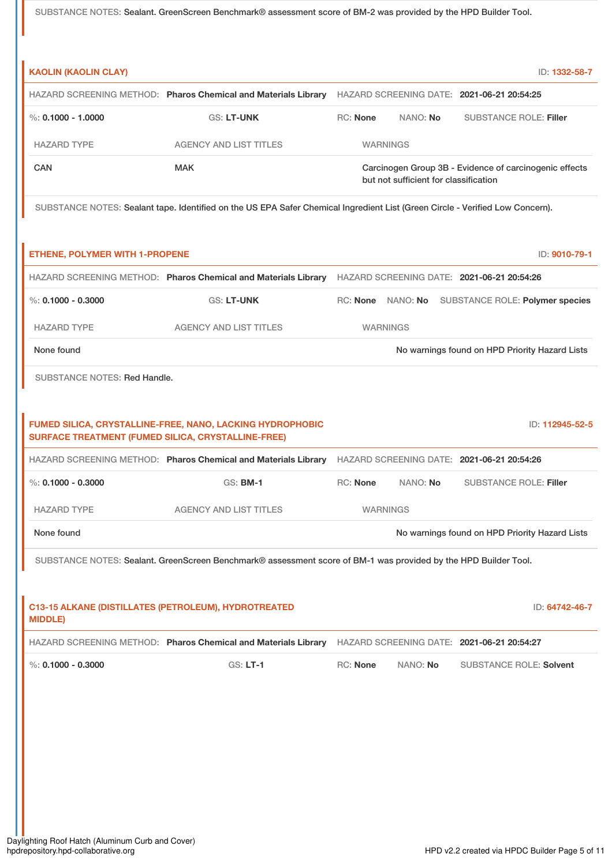|                                                           | SUBSTANCE NOTES: Sealant. GreenScreen Benchmark® assessment score of BM-2 was provided by the HPD Builder Tool.               |                 |          |                                                                                                 |                                   |
|-----------------------------------------------------------|-------------------------------------------------------------------------------------------------------------------------------|-----------------|----------|-------------------------------------------------------------------------------------------------|-----------------------------------|
|                                                           |                                                                                                                               |                 |          |                                                                                                 |                                   |
| <b>KAOLIN (KAOLIN CLAY)</b>                               |                                                                                                                               |                 |          |                                                                                                 | ID: 1332-58-7                     |
|                                                           | HAZARD SCREENING METHOD: Pharos Chemical and Materials Library HAZARD SCREENING DATE: 2021-06-21 20:54:25                     |                 |          |                                                                                                 |                                   |
| $\%$ : 0.1000 - 1.0000                                    | <b>GS: LT-UNK</b>                                                                                                             | RC: None        | NANO: No | <b>SUBSTANCE ROLE: Filler</b>                                                                   |                                   |
| <b>HAZARD TYPE</b>                                        | <b>AGENCY AND LIST TITLES</b>                                                                                                 | <b>WARNINGS</b> |          |                                                                                                 |                                   |
| CAN                                                       | <b>MAK</b>                                                                                                                    |                 |          | Carcinogen Group 3B - Evidence of carcinogenic effects<br>but not sufficient for classification |                                   |
|                                                           | SUBSTANCE NOTES: Sealant tape. Identified on the US EPA Safer Chemical Ingredient List (Green Circle - Verified Low Concern). |                 |          |                                                                                                 |                                   |
| <b>ETHENE, POLYMER WITH 1-PROPENE</b>                     |                                                                                                                               |                 |          |                                                                                                 | ID: 9010-79-1                     |
|                                                           | HAZARD SCREENING METHOD: Pharos Chemical and Materials Library HAZARD SCREENING DATE: 2021-06-21 20:54:26                     |                 |          |                                                                                                 |                                   |
| $\%$ : 0.1000 - 0.3000                                    | <b>GS: LT-UNK</b>                                                                                                             |                 |          | RC: None NANO: No SUBSTANCE ROLE: Polymer species                                               |                                   |
| <b>HAZARD TYPE</b>                                        | <b>AGENCY AND LIST TITLES</b>                                                                                                 | <b>WARNINGS</b> |          |                                                                                                 |                                   |
| None found                                                |                                                                                                                               |                 |          | No warnings found on HPD Priority Hazard Lists                                                  |                                   |
|                                                           |                                                                                                                               |                 |          |                                                                                                 |                                   |
| <b>SURFACE TREATMENT (FUMED SILICA, CRYSTALLINE-FREE)</b> | FUMED SILICA, CRYSTALLINE-FREE, NANO, LACKING HYDROPHOBIC                                                                     |                 |          |                                                                                                 |                                   |
| %: $0.1000 - 0.3000$                                      | HAZARD SCREENING METHOD: Pharos Chemical and Materials Library HAZARD SCREENING DATE: 2021-06-21 20:54:26<br>GS: <b>BM-1</b>  | RC: None        | NANO: No | <b>SUBSTANCE ROLE: Filler</b>                                                                   |                                   |
| <b>HAZARD TYPE</b>                                        | <b>AGENCY AND LIST TITLES</b>                                                                                                 | <b>WARNINGS</b> |          |                                                                                                 |                                   |
| None found                                                |                                                                                                                               |                 |          | No warnings found on HPD Priority Hazard Lists                                                  |                                   |
|                                                           | SUBSTANCE NOTES: Sealant. GreenScreen Benchmark® assessment score of BM-1 was provided by the HPD Builder Tool.               |                 |          |                                                                                                 |                                   |
| <b>MIDDLE)</b>                                            | C13-15 ALKANE (DISTILLATES (PETROLEUM), HYDROTREATED                                                                          |                 |          |                                                                                                 |                                   |
|                                                           | HAZARD SCREENING METHOD: Pharos Chemical and Materials Library HAZARD SCREENING DATE: 2021-06-21 20:54:27                     |                 |          |                                                                                                 |                                   |
| %: $0.1000 - 0.3000$                                      | <b>GS: LT-1</b>                                                                                                               | <b>RC: None</b> | NANO: No | <b>SUBSTANCE ROLE: Solvent</b>                                                                  | ID: 112945-52-5<br>ID: 64742-46-7 |
|                                                           |                                                                                                                               |                 |          |                                                                                                 |                                   |
|                                                           |                                                                                                                               |                 |          |                                                                                                 |                                   |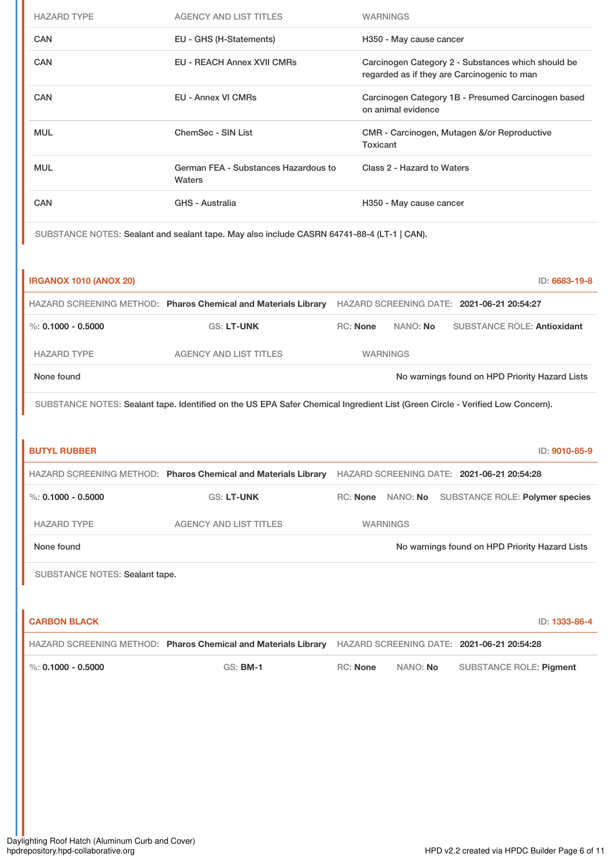| <b>HAZARD TYPE</b>             | <b>AGENCY AND LIST TITLES</b>                                                                                                 | <b>WARNINGS</b>   |                            |                                                                                                   |
|--------------------------------|-------------------------------------------------------------------------------------------------------------------------------|-------------------|----------------------------|---------------------------------------------------------------------------------------------------|
| <b>CAN</b>                     | EU - GHS (H-Statements)                                                                                                       |                   | H350 - May cause cancer    |                                                                                                   |
| <b>CAN</b>                     | <b>EU - REACH Annex XVII CMRs</b>                                                                                             |                   |                            | Carcinogen Category 2 - Substances which should be<br>regarded as if they are Carcinogenic to man |
| <b>CAN</b>                     | <b>EU - Annex VI CMRs</b>                                                                                                     |                   | on animal evidence         | Carcinogen Category 1B - Presumed Carcinogen based                                                |
| <b>MUL</b>                     | <b>ChemSec - SIN List</b>                                                                                                     | Toxicant          |                            | CMR - Carcinogen, Mutagen &/or Reproductive                                                       |
| <b>MUL</b>                     | German FEA - Substances Hazardous to<br>Waters                                                                                |                   | Class 2 - Hazard to Waters |                                                                                                   |
| <b>CAN</b>                     | <b>GHS - Australia</b>                                                                                                        |                   | H350 - May cause cancer    |                                                                                                   |
|                                | SUBSTANCE NOTES: Sealant and sealant tape. May also include CASRN 64741-88-4 (LT-1   CAN).                                    |                   |                            |                                                                                                   |
|                                |                                                                                                                               |                   |                            |                                                                                                   |
| <b>IRGANOX 1010 (ANOX 20)</b>  |                                                                                                                               |                   |                            | ID: 6683-19-8                                                                                     |
|                                | HAZARD SCREENING METHOD: Pharos Chemical and Materials Library HAZARD SCREENING DATE: 2021-06-21 20:54:27                     |                   |                            |                                                                                                   |
| $\%$ : 0.1000 - 0.5000         | GS: LT-UNK                                                                                                                    | <b>RC: None</b>   | NANO: No                   | <b>SUBSTANCE ROLE: Antioxidant</b>                                                                |
| <b>HAZARD TYPE</b>             | <b>AGENCY AND LIST TITLES</b>                                                                                                 | <b>WARNINGS</b>   |                            |                                                                                                   |
| None found                     |                                                                                                                               |                   |                            | No warnings found on HPD Priority Hazard Lists                                                    |
|                                |                                                                                                                               |                   |                            |                                                                                                   |
|                                | SUBSTANCE NOTES: Sealant tape. Identified on the US EPA Safer Chemical Ingredient List (Green Circle - Verified Low Concern). |                   |                            |                                                                                                   |
| <b>BUTYL RUBBER</b>            |                                                                                                                               |                   |                            | ID: 9010-85-9                                                                                     |
|                                | HAZARD SCREENING METHOD: Pharos Chemical and Materials Library HAZARD SCREENING DATE: 2021-06-21 20:54:28                     |                   |                            |                                                                                                   |
| %: $0.1000 - 0.5000$           | <b>GS: LT-UNK</b>                                                                                                             | RC: None NANO: No |                            | SUBSTANCE ROLE: Polymer species                                                                   |
| <b>HAZARD TYPE</b>             | <b>AGENCY AND LIST TITLES</b>                                                                                                 | <b>WARNINGS</b>   |                            |                                                                                                   |
| None found                     |                                                                                                                               |                   |                            | No warnings found on HPD Priority Hazard Lists                                                    |
| SUBSTANCE NOTES: Sealant tape. |                                                                                                                               |                   |                            |                                                                                                   |
|                                |                                                                                                                               |                   |                            |                                                                                                   |
| <b>CARBON BLACK</b>            |                                                                                                                               |                   |                            | ID: 1333-86-4                                                                                     |
|                                | HAZARD SCREENING METHOD: Pharos Chemical and Materials Library HAZARD SCREENING DATE: 2021-06-21 20:54:28                     |                   |                            |                                                                                                   |
| %: $0.1000 - 0.5000$           | <b>GS: BM-1</b>                                                                                                               | RC: None          | NANO: No                   | SUBSTANCE ROLE: Pigment                                                                           |
|                                |                                                                                                                               |                   |                            |                                                                                                   |
|                                |                                                                                                                               |                   |                            |                                                                                                   |
|                                |                                                                                                                               |                   |                            |                                                                                                   |
|                                |                                                                                                                               |                   |                            |                                                                                                   |
|                                |                                                                                                                               |                   |                            |                                                                                                   |
|                                |                                                                                                                               |                   |                            |                                                                                                   |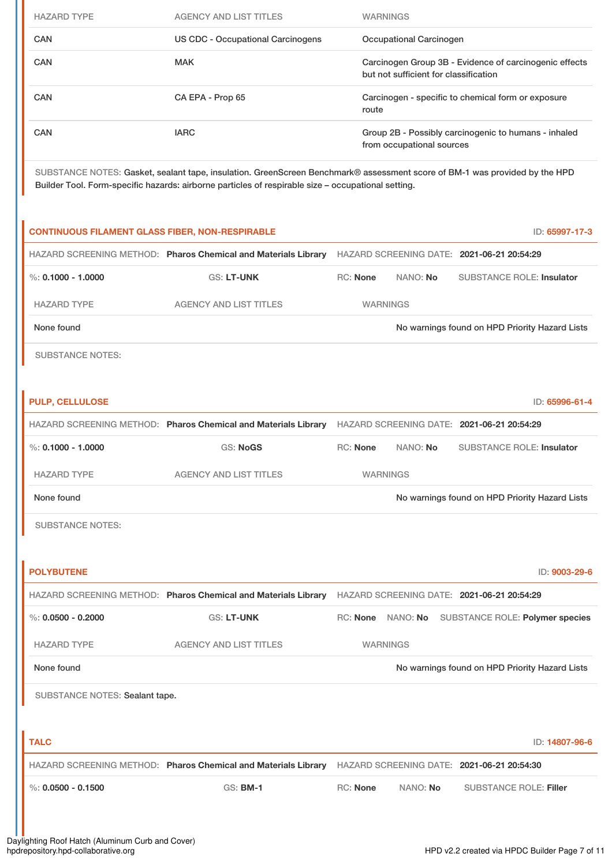| <b>HAZARD TYPE</b> | <b>AGENCY AND LIST TITLES</b>                                                                      | <b>WARNINGS</b>                                                                                                            |
|--------------------|----------------------------------------------------------------------------------------------------|----------------------------------------------------------------------------------------------------------------------------|
| <b>CAN</b>         | US CDC - Occupational Carcinogens                                                                  | Occupational Carcinogen                                                                                                    |
| <b>CAN</b>         | <b>MAK</b>                                                                                         | Carcinogen Group 3B - Evidence of carcinogenic effects<br>but not sufficient for classification                            |
| <b>CAN</b>         | CA EPA - Prop 65                                                                                   | Carcinogen - specific to chemical form or exposure<br>route                                                                |
| <b>CAN</b>         | <b>IARC</b>                                                                                        | Group 2B - Possibly carcinogenic to humans - inhaled<br>from occupational sources                                          |
|                    | Builder Tool. Form-specific hazards: airborne particles of respirable size - occupational setting. | SUBSTANCE NOTES: Gasket, sealant tape, insulation. GreenScreen Benchmark® assessment score of BM-1 was provided by the HPD |

| <b>CONTINUOUS FILAMENT GLASS FIBER, NON-RESPIRABLE</b> |                                                                                                           |                 |                 | ID: 65997-17-3                                    |
|--------------------------------------------------------|-----------------------------------------------------------------------------------------------------------|-----------------|-----------------|---------------------------------------------------|
|                                                        | HAZARD SCREENING METHOD: Pharos Chemical and Materials Library HAZARD SCREENING DATE: 2021-06-21 20:54:29 |                 |                 |                                                   |
| %: $0.1000 - 1.0000$                                   | <b>GS: LT-UNK</b>                                                                                         | RC: None        | NANO: No        | <b>SUBSTANCE ROLE: Insulator</b>                  |
| <b>HAZARD TYPE</b>                                     | <b>AGENCY AND LIST TITLES</b>                                                                             |                 | <b>WARNINGS</b> |                                                   |
| None found                                             |                                                                                                           |                 |                 | No warnings found on HPD Priority Hazard Lists    |
| <b>SUBSTANCE NOTES:</b>                                |                                                                                                           |                 |                 |                                                   |
|                                                        |                                                                                                           |                 |                 |                                                   |
| <b>PULP, CELLULOSE</b>                                 |                                                                                                           |                 |                 | ID: 65996-61-4                                    |
|                                                        | HAZARD SCREENING METHOD: Pharos Chemical and Materials Library HAZARD SCREENING DATE: 2021-06-21 20:54:29 |                 |                 |                                                   |
| %: $0.1000 - 1.0000$                                   | <b>GS: NoGS</b>                                                                                           | <b>RC: None</b> | NANO: No        | <b>SUBSTANCE ROLE: Insulator</b>                  |
| <b>HAZARD TYPE</b>                                     | <b>AGENCY AND LIST TITLES</b>                                                                             |                 | <b>WARNINGS</b> |                                                   |
| None found                                             |                                                                                                           |                 |                 | No warnings found on HPD Priority Hazard Lists    |
| <b>SUBSTANCE NOTES:</b>                                |                                                                                                           |                 |                 |                                                   |
|                                                        |                                                                                                           |                 |                 |                                                   |
| <b>POLYBUTENE</b>                                      |                                                                                                           |                 |                 | ID: 9003-29-6                                     |
|                                                        | HAZARD SCREENING METHOD: Pharos Chemical and Materials Library HAZARD SCREENING DATE: 2021-06-21 20:54:29 |                 |                 |                                                   |
| %: $0.0500 - 0.2000$                                   | <b>GS: LT-UNK</b>                                                                                         |                 |                 | RC: None NANO: No SUBSTANCE ROLE: Polymer species |
| <b>HAZARD TYPE</b>                                     | <b>AGENCY AND LIST TITLES</b>                                                                             |                 | <b>WARNINGS</b> |                                                   |
| None found                                             |                                                                                                           |                 |                 | No warnings found on HPD Priority Hazard Lists    |
| SUBSTANCE NOTES: Sealant tape.                         |                                                                                                           |                 |                 |                                                   |
|                                                        |                                                                                                           |                 |                 |                                                   |
| <b>TALC</b>                                            |                                                                                                           |                 |                 | ID: 14807-96-6                                    |
|                                                        | HAZARD SCREENING METHOD: Pharos Chemical and Materials Library HAZARD SCREENING DATE: 2021-06-21 20:54:30 |                 |                 |                                                   |
| %: $0.0500 - 0.1500$                                   | <b>GS: BM-1</b>                                                                                           | RC: None        | NANO: No        | <b>SUBSTANCE ROLE: Filler</b>                     |
|                                                        |                                                                                                           |                 |                 |                                                   |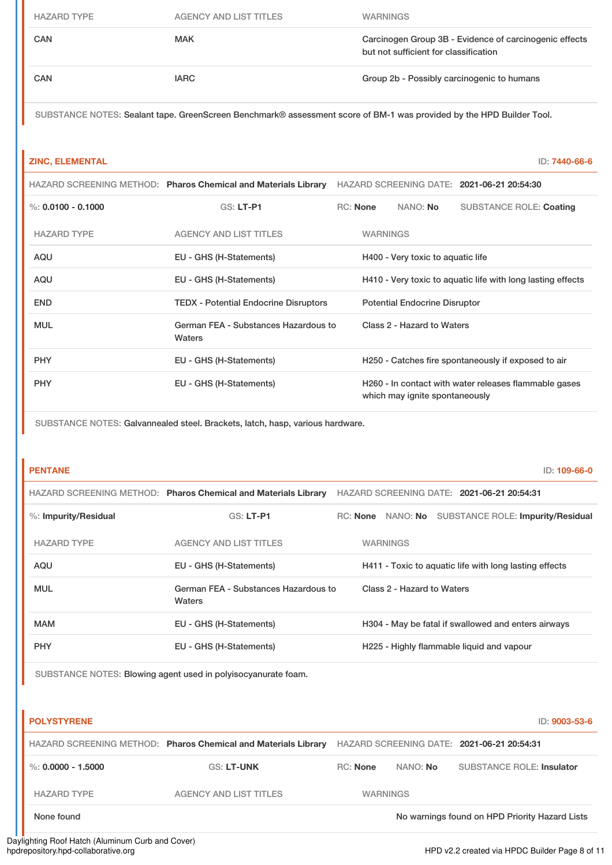| <b>HAZARD TYPE</b> | <b>AGENCY AND LIST TITLES</b> | <b>WARNINGS</b>                                                                                 |
|--------------------|-------------------------------|-------------------------------------------------------------------------------------------------|
| <b>CAN</b>         | <b>MAK</b>                    | Carcinogen Group 3B - Evidence of carcinogenic effects<br>but not sufficient for classification |
| <b>CAN</b>         | <b>IARC</b>                   | Group 2b - Possibly carcinogenic to humans                                                      |

SUBSTANCE NOTES: Sealant tape. GreenScreen Benchmark® assessment score of BM-1 was provided by the HPD Builder Tool.

| <b>ZINC, ELEMENTAL</b> |                                                                |                 |                                      | ID: 7440-66-6                                               |
|------------------------|----------------------------------------------------------------|-----------------|--------------------------------------|-------------------------------------------------------------|
|                        | HAZARD SCREENING METHOD: Pharos Chemical and Materials Library |                 |                                      | HAZARD SCREENING DATE: 2021-06-21 20:54:30                  |
| %: $0.0100 - 0.1000$   | <b>GS: LT-P1</b>                                               | <b>RC:</b> None | NANO: No                             | <b>SUBSTANCE ROLE: Coating</b>                              |
| <b>HAZARD TYPE</b>     | <b>AGENCY AND LIST TITLES</b>                                  | <b>WARNINGS</b> |                                      |                                                             |
| <b>AQU</b>             | EU - GHS (H-Statements)                                        |                 | H400 - Very toxic to aquatic life    |                                                             |
| <b>AQU</b>             | EU - GHS (H-Statements)                                        |                 |                                      | H410 - Very toxic to aquatic life with long lasting effects |
| <b>END</b>             | <b>TEDX - Potential Endocrine Disruptors</b>                   |                 | <b>Potential Endocrine Disruptor</b> |                                                             |
| <b>MUL</b>             | German FEA - Substances Hazardous to<br>Waters                 |                 | Class 2 - Hazard to Waters           |                                                             |
| <b>PHY</b>             | EU - GHS (H-Statements)                                        |                 |                                      | H250 - Catches fire spontaneously if exposed to air         |
| <b>PHY</b>             | EU - GHS (H-Statements)                                        |                 | which may ignite spontaneously       | H260 - In contact with water releases flammable gases       |

SUBSTANCE NOTES: Galvannealed steel. Brackets, latch, hasp, various hardware.

| <b>PENTANE</b>          |                                                                | ID: 109-66-0                                           |
|-------------------------|----------------------------------------------------------------|--------------------------------------------------------|
|                         | HAZARD SCREENING METHOD: Pharos Chemical and Materials Library | HAZARD SCREENING DATE: 2021-06-21 20:54:31             |
| $%$ : Impurity/Residual | $GS: LT-PI$                                                    | NANO: No SUBSTANCE ROLE: Impurity/Residual<br>RC: None |
| <b>HAZARD TYPE</b>      | <b>AGENCY AND LIST TITLES</b>                                  | <b>WARNINGS</b>                                        |
| AQU                     | EU - GHS (H-Statements)                                        | H411 - Toxic to aquatic life with long lasting effects |
| <b>MUL</b>              | German FEA - Substances Hazardous to<br>Waters                 | Class 2 - Hazard to Waters                             |
| <b>MAM</b>              | EU - GHS (H-Statements)                                        | H304 - May be fatal if swallowed and enters airways    |
| <b>PHY</b>              | EU - GHS (H-Statements)                                        | H225 - Highly flammable liquid and vapour              |

SUBSTANCE NOTES: Blowing agent used in polyisocyanurate foam.

| <b>POLYSTYRENE</b>   |                                                                |                 |          | ID: 9003-53-6                                  |
|----------------------|----------------------------------------------------------------|-----------------|----------|------------------------------------------------|
|                      | HAZARD SCREENING METHOD: Pharos Chemical and Materials Library |                 |          | HAZARD SCREENING DATE: 2021-06-21 20:54:31     |
| %: $0.0000 - 1.5000$ | <b>GS: LT-UNK</b>                                              | <b>RC:</b> None | NANO: No | <b>SUBSTANCE ROLE: Insulator</b>               |
| <b>HAZARD TYPE</b>   | <b>AGENCY AND LIST TITLES</b>                                  | <b>WARNINGS</b> |          |                                                |
| None found           |                                                                |                 |          | No warnings found on HPD Priority Hazard Lists |

Daylighting Roof Hatch (Aluminum Curb and Cover)<br>hpdrepository.hpd-collaborative.org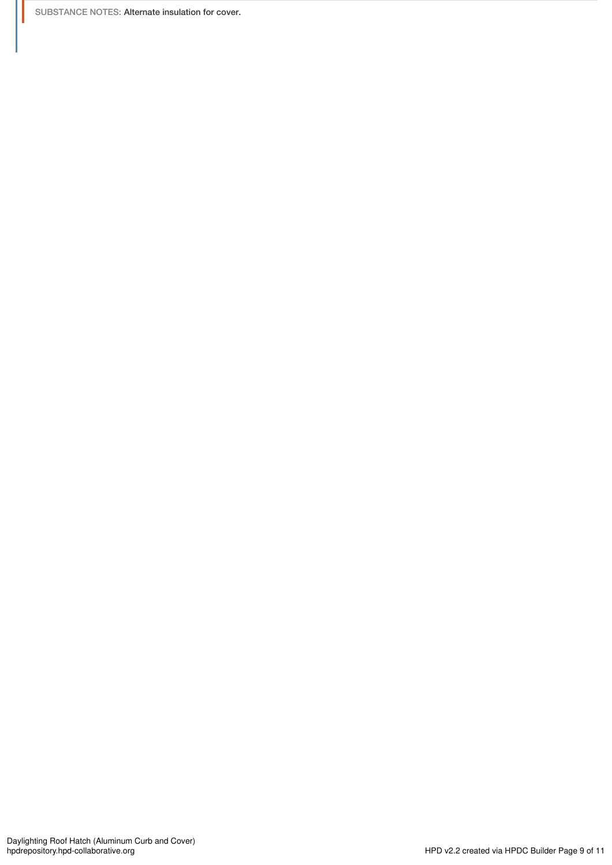SUBSTANCE NOTES: Alternate insulation for cover.

Ш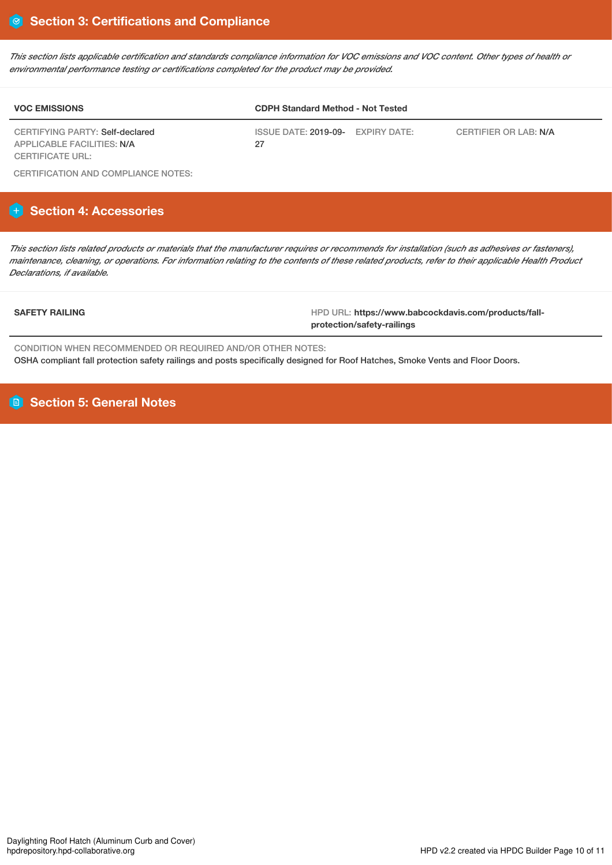This section lists applicable certification and standards compliance information for VOC emissions and VOC content. Other types of health or *environmental performance testing or certifications completed for the product may be provided.*

| <b>VOC EMISSIONS</b>                                          | <b>CDPH Standard Method - Not Tested</b>   |                       |  |  |
|---------------------------------------------------------------|--------------------------------------------|-----------------------|--|--|
| CERTIFYING PARTY: Self-declared<br>APPLICABLE FACILITIES: N/A | ISSUE DATE: 2019-09-<br>EXPIRY DATE:<br>27 | CERTIFIER OR LAB: N/A |  |  |
| CERTIFICATE URL:                                              |                                            |                       |  |  |

CERTIFICATION AND COMPLIANCE NOTES:

# **Section 4: Accessories**

This section lists related products or materials that the manufacturer requires or recommends for installation (such as adhesives or fasteners), maintenance, cleaning, or operations. For information relating to the contents of these related products, refer to their applicable Health Product *Declarations, if available.*

**SAFETY RAILING** HPD URL: **https://www.babcockdavis.com/products/fallprotection/safety-railings**

CONDITION WHEN RECOMMENDED OR REQUIRED AND/OR OTHER NOTES: OSHA compliant fall protection safety railings and posts specifically designed for Roof Hatches, Smoke Vents and Floor Doors.

**Section 5: General Notes**